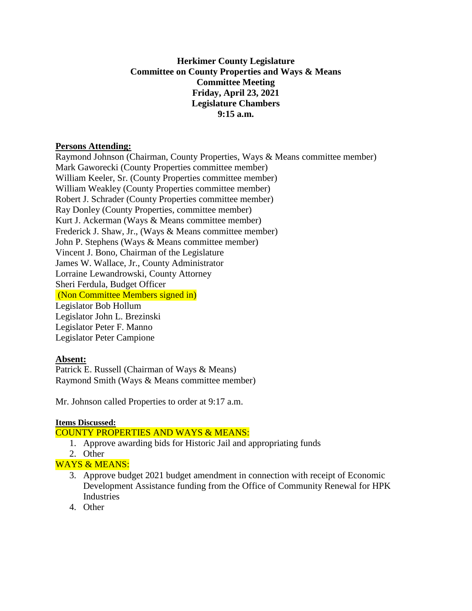# **Herkimer County Legislature Committee on County Properties and Ways & Means Committee Meeting Friday, April 23, 2021 Legislature Chambers 9:15 a.m.**

### **Persons Attending:**

Raymond Johnson (Chairman, County Properties, Ways & Means committee member) Mark Gaworecki (County Properties committee member) William Keeler, Sr. (County Properties committee member) William Weakley (County Properties committee member) Robert J. Schrader (County Properties committee member) Ray Donley (County Properties, committee member) Kurt J. Ackerman (Ways & Means committee member) Frederick J. Shaw, Jr., (Ways & Means committee member) John P. Stephens (Ways & Means committee member) Vincent J. Bono, Chairman of the Legislature James W. Wallace, Jr., County Administrator Lorraine Lewandrowski, County Attorney Sheri Ferdula, Budget Officer (Non Committee Members signed in) Legislator Bob Hollum Legislator John L. Brezinski Legislator Peter F. Manno Legislator Peter Campione

# **Absent:**

Patrick E. Russell (Chairman of Ways & Means) Raymond Smith (Ways & Means committee member)

Mr. Johnson called Properties to order at 9:17 a.m.

#### **Items Discussed:**

COUNTY PROPERTIES AND WAYS & MEANS:

- 1. Approve awarding bids for Historic Jail and appropriating funds
- 2. Other

# WAYS & MEANS:

- 3. Approve budget 2021 budget amendment in connection with receipt of Economic Development Assistance funding from the Office of Community Renewal for HPK Industries
- 4. Other